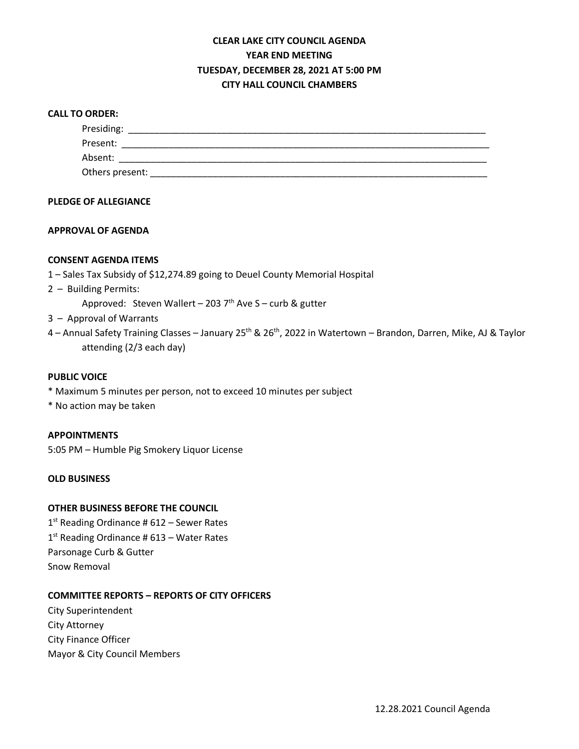# **CLEAR LAKE CITY COUNCIL AGENDA YEAR END MEETING TUESDAY, DECEMBER 28, 2021 AT 5:00 PM CITY HALL COUNCIL CHAMBERS**

# **CALL TO ORDER:**

| Presiding:      |  |  |  |
|-----------------|--|--|--|
| Present:        |  |  |  |
| Absent:         |  |  |  |
| Others present: |  |  |  |

# **PLEDGE OF ALLEGIANCE**

# **APPROVAL OF AGENDA**

# **CONSENT AGENDA ITEMS**

- 1 Sales Tax Subsidy of \$12,274.89 going to Deuel County Memorial Hospital
- 2 Building Permits:

Approved: Steven Wallert – 203  $7<sup>th</sup>$  Ave S – curb & gutter

- 3 Approval of Warrants
- 4 Annual Safety Training Classes January 25<sup>th</sup> & 26<sup>th</sup>, 2022 in Watertown Brandon, Darren, Mike, AJ & Taylor attending (2/3 each day)

### **PUBLIC VOICE**

- \* Maximum 5 minutes per person, not to exceed 10 minutes per subject
- \* No action may be taken

#### **APPOINTMENTS**

5:05 PM – Humble Pig Smokery Liquor License

# **OLD BUSINESS**

## **OTHER BUSINESS BEFORE THE COUNCIL**

1<sup>st</sup> Reading Ordinance # 612 – Sewer Rates  $1<sup>st</sup>$  Reading Ordinance # 613 – Water Rates Parsonage Curb & Gutter Snow Removal

# **COMMITTEE REPORTS – REPORTS OF CITY OFFICERS**

City Superintendent City Attorney City Finance Officer Mayor & City Council Members